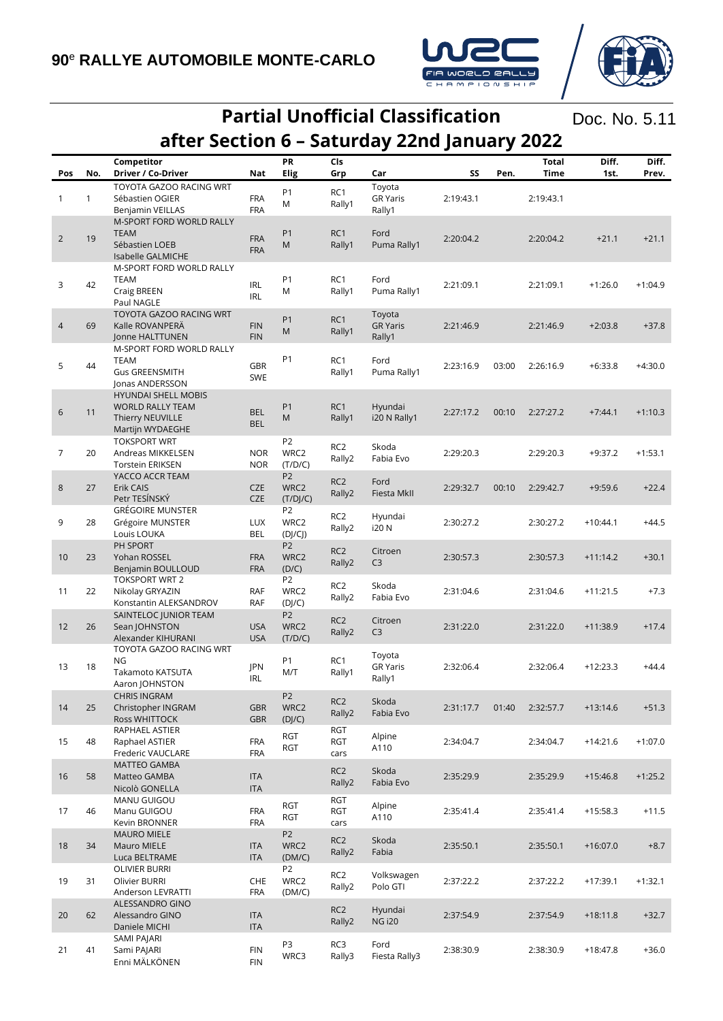

## **Partial Unofficial Classification after Section 6 – Saturday 22nd January 2022**

Doc. No. 5.11

| Pos            | No.          | Competitor<br>Driver / Co-Driver | Nat             | PR<br><b>Elig</b> | Cls<br>Grp      | Car                    | SS        | Pen.      | <b>Total</b><br>Time | Diff.<br>1st. | Diff.<br>Prev. |
|----------------|--------------|----------------------------------|-----------------|-------------------|-----------------|------------------------|-----------|-----------|----------------------|---------------|----------------|
|                |              | TOYOTA GAZOO RACING WRT          |                 |                   |                 | Toyota                 |           |           |                      |               |                |
|                | $\mathbf{1}$ | Sébastien OGIER                  |                 | P <sub>1</sub>    | RC1             |                        |           |           |                      |               |                |
| $\mathbf{1}$   |              |                                  | <b>FRA</b>      | M                 | Rally1          | <b>GR Yaris</b>        | 2:19:43.1 |           | 2:19:43.1            |               |                |
|                |              | Benjamin VEILLAS                 | <b>FRA</b>      |                   |                 | Rally1                 |           |           |                      |               |                |
|                |              | M-SPORT FORD WORLD RALLY         |                 |                   |                 |                        |           |           |                      |               |                |
| 2              | 19           | <b>TEAM</b>                      | <b>FRA</b>      | P <sub>1</sub>    | RC1             | Ford                   | 2:20:04.2 |           | 2:20:04.2            | $+21.1$       | $+21.1$        |
|                |              | Sébastien LOEB                   | <b>FRA</b>      | M                 | Rally1          | Puma Rally1            |           |           |                      |               |                |
|                |              | Isabelle GALMICHE                |                 |                   |                 |                        |           |           |                      |               |                |
|                |              | M-SPORT FORD WORLD RALLY         |                 |                   |                 |                        |           |           |                      |               |                |
|                |              | <b>TEAM</b>                      |                 | P <sub>1</sub>    | RC1             | Ford                   |           |           |                      |               |                |
| 3              | 42           | Craig BREEN                      | <b>IRL</b><br>M |                   | Rally1          | Puma Rally1            | 2:21:09.1 |           | 2:21:09.1            | $+1:26.0$     | $+1:04.9$      |
|                |              | Paul NAGLE                       | <b>IRL</b>      |                   |                 |                        |           |           |                      |               |                |
|                |              | <b>TOYOTA GAZOO RACING WRT</b>   |                 |                   |                 | Toyota                 |           |           |                      |               |                |
|                | 69           | Kalle ROVANPERÄ                  | <b>FIN</b>      | P <sub>1</sub>    | RC1             | <b>GR Yaris</b>        | 2:21:46.9 |           | 2:21:46.9            | $+2:03.8$     | $+37.8$        |
| $\overline{4}$ |              | Jonne HALTTUNEN                  | <b>FIN</b>      | M                 | Rally1          | Rally1                 |           |           |                      |               |                |
|                |              |                                  |                 |                   |                 |                        |           |           |                      |               |                |
|                |              | M-SPORT FORD WORLD RALLY         | GBR             | P <sub>1</sub>    |                 |                        |           |           |                      |               |                |
| 5              | 44           | <b>TEAM</b>                      |                 |                   | RC1             | Ford                   | 2:23:16.9 | 03:00     | 2:26:16.9            | $+6:33.8$     | $+4:30.0$      |
|                |              | <b>Gus GREENSMITH</b>            | SWE             |                   | Rally1          | Puma Rally1            |           |           |                      |               |                |
|                |              | Jonas ANDERSSON                  |                 |                   |                 |                        |           |           |                      |               |                |
|                |              | <b>HYUNDAI SHELL MOBIS</b>       |                 |                   |                 |                        |           |           |                      |               |                |
|                |              | <b>WORLD RALLY TEAM</b>          |                 | P <sub>1</sub>    | RC1             | Hyundai                |           |           | 2:27:27.2            |               |                |
| 6              | 11           | Thierry NEUVILLE                 | <b>BEL</b>      | M                 | Rally1          | i20 N Rally1           | 2:27:17.2 | 00:10     |                      | $+7:44.1$     | $+1:10.3$      |
|                |              | Martijn WYDAEGHE                 | <b>BEL</b>      |                   |                 |                        |           |           |                      |               |                |
|                |              | <b>TOKSPORT WRT</b>              |                 | P <sub>2</sub>    |                 |                        |           |           |                      |               |                |
| $\overline{7}$ | 20           | Andreas MIKKELSEN                | <b>NOR</b>      | WRC2              | RC <sub>2</sub> | Skoda                  | 2:29:20.3 |           | 2:29:20.3            | $+9:37.2$     | $+1:53.1$      |
|                |              | <b>Torstein ERIKSEN</b>          | <b>NOR</b>      | (T/D/C)           | Rally2          | Fabia Evo              |           |           |                      |               |                |
|                |              |                                  |                 |                   |                 |                        |           |           |                      |               |                |
|                |              | YACCO ACCR TEAM                  |                 | P <sub>2</sub>    | RC <sub>2</sub> | Ford                   |           |           |                      |               |                |
| 8              | 27           | Erik CAIS                        | <b>CZE</b>      | WRC2              | Rally2          | Fiesta MkII            | 2:29:32.7 | 00:10     | 2:29:42.7            | $+9:59.6$     | $+22.4$        |
|                |              | Petr TESÍNSKÝ                    | <b>CZE</b>      | (T/DI/C)          |                 |                        |           |           |                      |               |                |
|                |              | <b>GRÉGOIRE MUNSTER</b>          |                 | P <sub>2</sub>    | RC <sub>2</sub> | Hyundai                |           |           |                      |               |                |
| 9              | 28           | Grégoire MUNSTER                 | <b>LUX</b>      | WRC2              | Rally2          | i20 N                  | 2:30:27.2 |           | 2:30:27.2            | $+10:44.1$    | $+44.5$        |
|                |              | Louis LOUKA                      | <b>BEL</b>      | (D]/C             |                 |                        |           |           |                      |               |                |
|                |              | PH SPORT                         |                 | P <sub>2</sub>    |                 |                        |           |           |                      |               |                |
| 10             | 23           | Yohan ROSSEL                     | <b>FRA</b>      | WRC2              | RC <sub>2</sub> | Citroen                | 2:30:57.3 |           | 2:30:57.3            | $+11:14.2$    | $+30.1$        |
|                |              | Benjamin BOULLOUD                | <b>FRA</b>      | (D/C)             | Rally2          | C <sub>3</sub>         |           |           |                      |               |                |
|                |              | <b>TOKSPORT WRT 2</b>            |                 | P <sub>2</sub>    |                 |                        |           |           |                      |               |                |
| 11             | 22           | Nikolay GRYAZIN                  | RAF             | WRC2              | RC <sub>2</sub> | Skoda                  | 2:31:04.6 |           | 2:31:04.6            | $+11:21.5$    | $+7.3$         |
|                |              | Konstantin ALEKSANDROV           | RAF             | (D]/C)            | Rally2          | Fabia Evo              |           |           |                      |               |                |
|                |              | SAINTELOC JUNIOR TEAM            |                 | P <sub>2</sub>    |                 |                        |           |           |                      |               |                |
|                | 26           |                                  | <b>USA</b>      | WRC2              | RC <sub>2</sub> | Citroen                | 2:31:22.0 |           |                      |               |                |
| 12             |              | Sean JOHNSTON                    |                 |                   | Rally2          | C <sub>3</sub>         |           |           | 2:31:22.0            | $+11:38.9$    | $+17.4$        |
|                |              | Alexander KIHURANI               | <b>USA</b>      | (T/D/C)           |                 |                        |           |           |                      |               |                |
|                |              | TOYOTA GAZOO RACING WRT          |                 |                   |                 | Toyota                 |           |           |                      |               |                |
| 13             | 18           | <b>NG</b>                        | JPN             | P <sub>1</sub>    | RC1             | <b>GR Yaris</b>        | 2:32:06.4 |           | 2:32:06.4            | $+12:23.3$    | $+44.4$        |
|                |              | Takamoto KATSUTA                 | <b>IRL</b>      | M/T               | Rally1          | Rally1                 |           |           |                      |               |                |
|                |              | Aaron JOHNSTON                   |                 |                   |                 |                        |           |           |                      |               |                |
|                |              | <b>CHRIS INGRAM</b>              |                 | P <sub>2</sub>    |                 |                        |           |           |                      |               |                |
| 14             | 25           | Christopher INGRAM               | <b>GBR</b>      | WRC2              | RC <sub>2</sub> | Skoda                  | 2:31:17.7 | 01:40     | 2:32:57.7            | $+13:14.6$    | $+51.3$        |
|                |              | Ross WHITTOCK                    | <b>GBR</b>      | (DJ/C)            | Rally2          | Fabia Evo              |           |           |                      |               |                |
|                |              | RAPHAEL ASTIER                   |                 |                   | <b>RGT</b>      |                        |           |           |                      |               |                |
| 15             | 48           | Raphael ASTIER                   | <b>FRA</b>      | <b>RGT</b>        | <b>RGT</b>      | Alpine                 | 2:34:04.7 |           | 2:34:04.7            | $+14:21.6$    | $+1:07.0$      |
|                |              | Frederic VAUCLARE                | <b>FRA</b>      | RGT               | cars            | A110                   |           |           |                      |               |                |
|                |              | <b>MATTEO GAMBA</b>              |                 |                   |                 |                        |           |           |                      |               |                |
|                |              |                                  |                 |                   | RC <sub>2</sub> | Skoda                  |           |           |                      |               |                |
| 16             | 58           | Matteo GAMBA                     | <b>ITA</b>      |                   | Rally2          | Fabia Evo              | 2:35:29.9 |           | 2:35:29.9            | $+15:46.8$    | $+1:25.2$      |
|                |              | Nicolò GONELLA                   | <b>ITA</b>      |                   |                 |                        |           |           |                      |               |                |
|                |              | MANU GUIGOU                      |                 | RGT               | <b>RGT</b>      | Alpine                 |           |           |                      |               |                |
| 17             | 46           | Manu GUIGOU                      | <b>FRA</b>      | RGT               | RGT             | A110                   | 2:35:41.4 |           | 2:35:41.4            | $+15:58.3$    | $+11.5$        |
|                |              | <b>Kevin BRONNER</b>             | <b>FRA</b>      |                   | cars            |                        |           |           |                      |               |                |
|                |              | <b>MAURO MIELE</b>               |                 | P <sub>2</sub>    |                 |                        |           |           |                      |               |                |
| 18             | 34           | Mauro MIELE                      | <b>ITA</b>      | WRC2              | RC <sub>2</sub> | Skoda                  | 2:35:50.1 |           | 2:35:50.1            | $+16:07.0$    | $+8.7$         |
|                |              | Luca BELTRAME                    | <b>ITA</b>      | (DM/C)            | Rally2          | Fabia                  |           |           |                      |               |                |
| 19             |              | <b>OLIVIER BURRI</b>             |                 | P <sub>2</sub>    |                 |                        |           |           |                      |               |                |
|                | 31           | Olivier BURRI                    | <b>CHE</b>      | WRC2              | RC <sub>2</sub> | Volkswagen<br>Polo GTI | 2:37:22.2 | 2:37:22.2 | $+17:39.1$           | $+1:32.1$     |                |
|                |              | Anderson LEVRATTI                | <b>FRA</b>      | (DM/C)            | Rally2          |                        |           |           |                      |               |                |
|                |              |                                  |                 |                   |                 |                        |           |           |                      |               |                |
|                |              | ALESSANDRO GINO                  |                 |                   | RC <sub>2</sub> | Hyundai                |           |           |                      |               |                |
| 20             | 62           | Alessandro GINO                  | <b>ITA</b>      |                   | Rally2          | <b>NG i20</b>          | 2:37:54.9 |           | 2:37:54.9            | $+18:11.8$    | $+32.7$        |
|                |              | Daniele MICHI                    | <b>ITA</b>      |                   |                 |                        |           |           |                      |               |                |
|                |              | SAMI PAJARI                      |                 | P3                | RC3             | Ford                   |           |           |                      |               |                |
| 21             | 41           | Sami PAJARI                      | <b>FIN</b>      | WRC3              | Rally3          | Fiesta Rally3          | 2:38:30.9 |           | 2:38:30.9            | $+18:47.8$    | $+36.0$        |
|                |              | Enni MÄLKÖNEN                    | <b>FIN</b>      |                   |                 |                        |           |           |                      |               |                |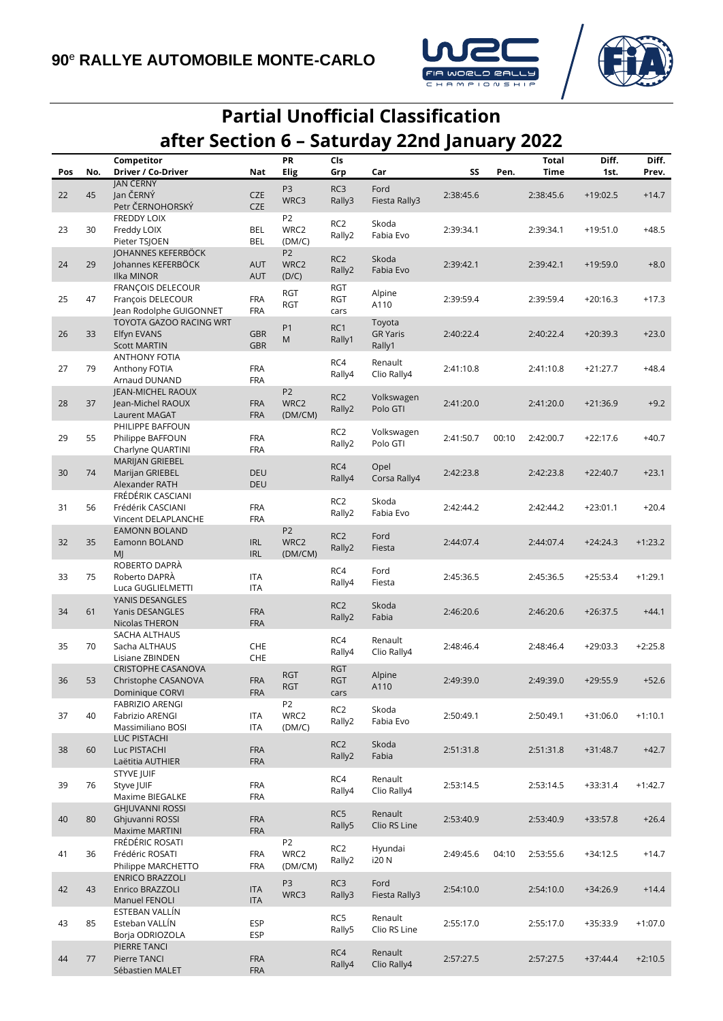



## **Partial Unofficial Classification after Section 6 – Saturday 22nd January 2022**

|     |     | Competitor                               |                          | PR                     | Cls             |                         |           |       | <b>Total</b> | Diff.      | Diff.     |
|-----|-----|------------------------------------------|--------------------------|------------------------|-----------------|-------------------------|-----------|-------|--------------|------------|-----------|
| Pos | No. | Driver / Co-Driver                       | Nat                      | Elig                   | Grp             | Car                     | SS        | Pen.  | Time         | 1st.       | Prev.     |
|     |     | JAN ČERNÝ                                |                          | P <sub>3</sub>         | RC3             | Ford                    |           |       |              |            |           |
| 22  | 45  | Jan ČERNÝ                                | <b>CZE</b>               | WRC3                   | Rally3          | Fiesta Rally3           | 2:38:45.6 |       | 2:38:45.6    | $+19:02.5$ | $+14.7$   |
|     |     | Petr ČERNOHORSKÝ                         | <b>CZE</b>               |                        |                 |                         |           |       |              |            |           |
|     |     | <b>FREDDY LOIX</b>                       |                          | P <sub>2</sub>         | RC <sub>2</sub> | Skoda                   |           |       |              |            |           |
| 23  | 30  | Freddy LOIX                              | <b>BEL</b>               | WRC2                   | Rally2          | Fabia Evo               | 2:39:34.1 |       | 2:39:34.1    | $+19:51.0$ | $+48.5$   |
|     |     | Pieter TSJOEN                            | <b>BEL</b>               | (DM/C)                 |                 |                         |           |       |              |            |           |
| 24  | 29  | JOHANNES KEFERBÖCK<br>Johannes KEFERBÖCK | <b>AUT</b>               | P <sub>2</sub><br>WRC2 | RC <sub>2</sub> | Skoda                   | 2:39:42.1 |       | 2:39:42.1    | $+19:59.0$ | $+8.0$    |
|     |     | <b>Ilka MINOR</b>                        | <b>AUT</b>               | (D/C)                  | Rally2          | Fabia Evo               |           |       |              |            |           |
|     |     | FRANCOIS DELECOUR                        |                          |                        | <b>RGT</b>      |                         |           |       |              |            |           |
| 25  | 47  | François DELECOUR                        | <b>FRA</b>               | <b>RGT</b>             | <b>RGT</b>      | Alpine                  | 2:39:59.4 |       | 2:39:59.4    | $+20:16.3$ | $+17.3$   |
|     |     | Jean Rodolphe GUIGONNET                  | <b>FRA</b>               | <b>RGT</b>             | cars            | A110                    |           |       |              |            |           |
|     |     | TOYOTA GAZOO RACING WRT                  |                          |                        |                 | Toyota                  |           |       |              |            |           |
| 26  | 33  | Elfyn EVANS                              | <b>GBR</b>               | P <sub>1</sub><br>M    | RC1<br>Rally1   | <b>GR Yaris</b>         | 2:40:22.4 |       | 2:40:22.4    | $+20:39.3$ | $+23.0$   |
|     |     | <b>Scott MARTIN</b>                      | <b>GBR</b>               |                        |                 | Rally1                  |           |       |              |            |           |
|     |     | <b>ANTHONY FOTIA</b>                     |                          |                        | RC4             | Renault                 |           |       |              |            |           |
| 27  | 79  | Anthony FOTIA                            | <b>FRA</b>               |                        | Rally4          | Clio Rally4             | 2:41:10.8 |       | 2:41:10.8    | $+21:27.7$ | $+48.4$   |
|     |     | Arnaud DUNAND                            | <b>FRA</b>               |                        |                 |                         |           |       |              |            |           |
|     |     | JEAN-MICHEL RAOUX                        |                          | P <sub>2</sub>         | RC <sub>2</sub> | Volkswagen              |           |       |              |            |           |
| 28  | 37  | Jean-Michel RAOUX<br>Laurent MAGAT       | <b>FRA</b><br><b>FRA</b> | WRC2<br>(DM/CM)        | Rally2          | Polo GTI                | 2:41:20.0 |       | 2:41:20.0    | $+21:36.9$ | $+9.2$    |
|     |     | PHILIPPE BAFFOUN                         |                          |                        |                 |                         |           |       |              |            |           |
| 29  | 55  | Philippe BAFFOUN                         | <b>FRA</b>               |                        | RC <sub>2</sub> | Volkswagen              | 2:41:50.7 | 00:10 | 2:42:00.7    | $+22:17.6$ | $+40.7$   |
|     |     | Charlyne QUARTINI                        | <b>FRA</b>               |                        | Rally2          | Polo GTI                |           |       |              |            |           |
|     |     | MARIJAN GRIEBEL                          |                          |                        |                 |                         |           |       |              |            |           |
| 30  | 74  | Marijan GRIEBEL                          | DEU                      |                        | RC4             | Opel                    | 2:42:23.8 |       | 2:42:23.8    | $+22:40.7$ | $+23.1$   |
|     |     | Alexander RATH                           | <b>DEU</b>               |                        | Rally4          | Corsa Rally4            |           |       |              |            |           |
|     |     | FRÉDÉRIK CASCIANI                        |                          |                        | RC <sub>2</sub> | Skoda                   |           |       |              |            |           |
| 31  | 56  | Frédérik CASCIANI                        | <b>FRA</b>               |                        | Rally2          | Fabia Evo               | 2:42:44.2 |       | 2:42:44.2    | $+23:01.1$ | $+20.4$   |
|     |     | Vincent DELAPLANCHE                      | <b>FRA</b>               |                        |                 |                         |           |       |              |            |           |
|     |     | <b>EAMONN BOLAND</b>                     |                          | P <sub>2</sub>         | RC <sub>2</sub> | Ford                    |           |       |              |            |           |
| 32  | 35  | Eamonn BOLAND                            | <b>IRL</b>               | WRC2                   | Rally2          | Fiesta                  | 2:44:07.4 |       | 2:44:07.4    | $+24:24.3$ | $+1:23.2$ |
|     |     | MJ                                       | <b>IRL</b>               | (DM/CM)                |                 |                         |           |       |              |            |           |
| 33  | 75  | ROBERTO DAPRÀ<br>Roberto DAPRÀ           | <b>ITA</b>               |                        | RC4             | Ford                    | 2:45:36.5 |       | 2:45:36.5    | $+25:53.4$ | $+1:29.1$ |
|     |     | Luca GUGLIELMETTI                        | <b>ITA</b>               |                        | Rally4          | Fiesta                  |           |       |              |            |           |
|     |     | YANIS DESANGLES                          |                          |                        |                 |                         |           |       |              |            |           |
| 34  | 61  | Yanis DESANGLES                          | <b>FRA</b>               |                        | RC <sub>2</sub> | Skoda                   | 2:46:20.6 |       | 2:46:20.6    | $+26:37.5$ | $+44.1$   |
|     |     | Nicolas THERON                           | <b>FRA</b>               |                        | Rally2          | Fabia                   |           |       |              |            |           |
|     |     | SACHA ALTHAUS                            |                          |                        |                 |                         |           |       |              |            |           |
| 35  | 70  | Sacha ALTHAUS                            | CHE                      |                        | RC4<br>Rally4   | Renault<br>Clio Rally4  | 2:48:46.4 |       | 2:48:46.4    | $+29:03.3$ | $+2:25.8$ |
|     |     | Lisiane ZBINDEN                          | CHE                      |                        |                 |                         |           |       |              |            |           |
|     |     | <b>CRISTOPHE CASANOVA</b>                |                          | <b>RGT</b>             | <b>RGT</b>      | Alpine                  |           |       |              |            |           |
| 36  | 53  | Christophe CASANOVA                      | <b>FRA</b>               | <b>RGT</b>             | <b>RGT</b>      | A110                    | 2:49:39.0 |       | 2:49:39.0    | $+29:55.9$ | $+52.6$   |
|     |     | Dominique CORVI                          | <b>FRA</b>               |                        | cars            |                         |           |       |              |            |           |
|     | 40  | FABRIZIO ARENGI                          |                          | P <sub>2</sub><br>WRC2 | RC <sub>2</sub> | Skoda                   |           |       |              |            |           |
| 37  |     | Fabrizio ARENGI<br>Massimiliano BOSI     | <b>ITA</b><br><b>ITA</b> | (DM/C)                 | Rally2          | Fabia Evo               | 2:50:49.1 |       | 2:50:49.1    | $+31:06.0$ | $+1:10.1$ |
|     |     | LUC PISTACHI                             |                          |                        |                 |                         |           |       |              |            |           |
| 38  | 60  | Luc PISTACHI                             | <b>FRA</b>               |                        | RC <sub>2</sub> | Skoda                   | 2:51:31.8 |       | 2:51:31.8    | $+31:48.7$ | $+42.7$   |
|     |     | Laëtitia AUTHIER                         | <b>FRA</b>               |                        | Rally2          | Fabia                   |           |       |              |            |           |
|     |     | <b>STYVE JUIF</b>                        |                          |                        |                 |                         |           |       |              |            |           |
| 39  | 76  | Styve JUIF                               | FRA                      |                        | RC4<br>Rally4   | Renault<br>Clio Rally4  | 2:53:14.5 |       | 2:53:14.5    | $+33:31.4$ | $+1:42.7$ |
|     |     | Maxime BIEGALKE                          | <b>FRA</b>               |                        |                 |                         |           |       |              |            |           |
|     |     | <b>GHJUVANNI ROSSI</b>                   |                          |                        | RC5             | Renault                 |           |       |              |            |           |
| 40  | 80  | Ghjuvanni ROSSI                          | <b>FRA</b>               |                        | Rally5          | Clio RS Line            | 2:53:40.9 |       | 2:53:40.9    | $+33:57.8$ | $+26.4$   |
|     |     | Maxime MARTINI                           | <b>FRA</b>               |                        |                 |                         |           |       |              |            |           |
|     |     | FRÉDÉRIC ROSATI                          | <b>FRA</b>               | P <sub>2</sub><br>WRC2 | RC <sub>2</sub> | Hyundai                 |           |       |              |            |           |
| 41  | 36  | Frédéric ROSATI<br>Philippe MARCHETTO    | <b>FRA</b>               | (DM/CM)                | Rally2          | i20 N                   | 2:49:45.6 | 04:10 | 2:53:55.6    | +34:12.5   | $+14.7$   |
|     |     | <b>ENRICO BRAZZOLI</b>                   |                          |                        |                 |                         |           |       |              |            |           |
| 42  | 43  | Enrico BRAZZOLI                          | <b>ITA</b>               | P <sub>3</sub>         | RC3             | Ford                    | 2:54:10.0 |       | 2:54:10.0    | $+34:26.9$ | $+14.4$   |
|     |     | Manuel FENOLI                            | <b>ITA</b>               | WRC3                   | Rally3          | Fiesta Rally3           |           |       |              |            |           |
|     |     | ESTEBAN VALLÍN                           |                          |                        |                 |                         |           |       |              |            |           |
| 43  | 85  | Esteban VALLÍN                           | ESP                      |                        | RC5<br>Rally5   | Renault<br>Clio RS Line | 2:55:17.0 |       | 2:55:17.0    | +35:33.9   | $+1:07.0$ |
|     |     | Borja ODRIOZOLA                          | ESP                      |                        |                 |                         |           |       |              |            |           |
|     |     | PIERRE TANCI                             |                          |                        | RC4             | Renault                 |           |       |              |            |           |
| 44  | 77  | Pierre TANCI                             | <b>FRA</b>               |                        | Rally4          | Clio Rally4             | 2:57:27.5 |       | 2:57:27.5    | $+37:44.4$ | $+2:10.5$ |
|     |     | Sébastien MALET                          | <b>FRA</b>               |                        |                 |                         |           |       |              |            |           |